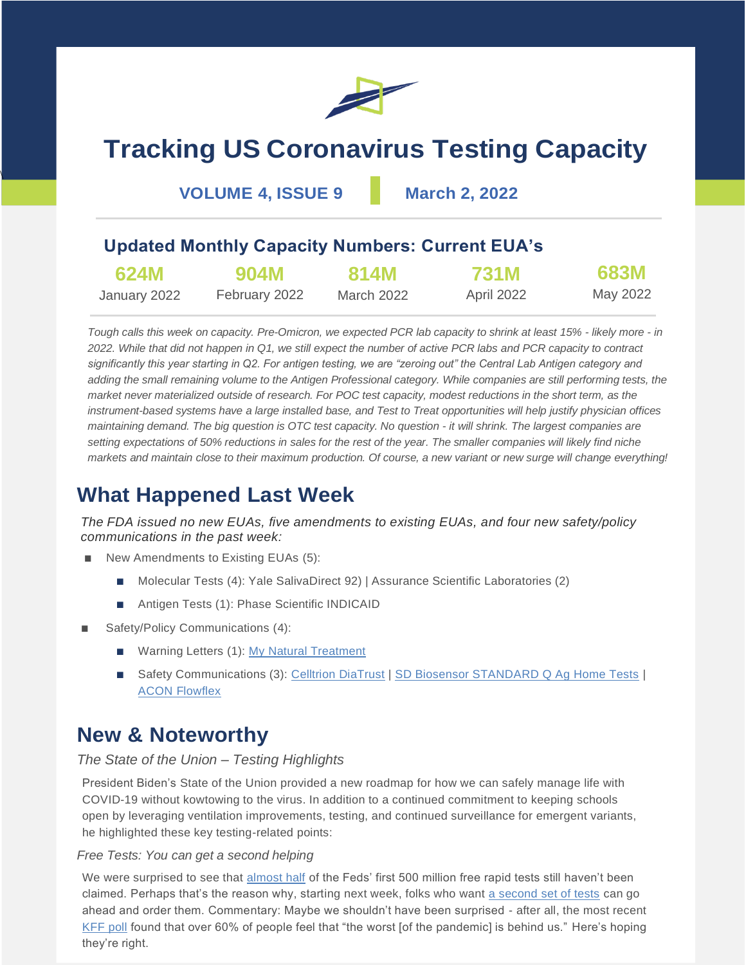

# **Tracking US Coronavirus Testing Capacity**

**VOLUME 4, ISSUE 9 March 2, 2022**

 $\overline{\phantom{a}}$ 

### **Updated Monthly Capacity Numbers: Current EUA's**

| 624M         | 904M          | <b>814M</b> | <b>731M</b> | 683M     |
|--------------|---------------|-------------|-------------|----------|
| January 2022 | February 2022 | March 2022  | April 2022  | May 2022 |

*Tough calls this week on capacity. Pre-Omicron, we expected PCR lab capacity to shrink at least 15% - likely more - in 2022. While that did not happen in Q1, we still expect the number of active PCR labs and PCR capacity to contract significantly this year starting in Q2. For antigen testing, we are "zeroing out" the Central Lab Antigen category and adding the small remaining volume to the Antigen Professional category. While companies are still performing tests, the market never materialized outside of research. For POC test capacity, modest reductions in the short term, as the instrument-based systems have a large installed base, and Test to Treat opportunities will help justify physician offices maintaining demand. The big question is OTC test capacity. No question - it will shrink. The largest companies are setting expectations of 50% reductions in sales for the rest of the year. The smaller companies will likely find niche markets and maintain close to their maximum production. Of course, a new variant or new surge will change everything!*

### **What Happened Last Week**

*The FDA issued no new EUAs, five amendments to existing EUAs, and four new safety/policy communications in the past week:*

- New Amendments to Existing EUAs (5):
	- Molecular Tests (4): Yale SalivaDirect 92) | Assurance Scientific Laboratories (2)
	- Antigen Tests (1): Phase Scientific INDICAID
- Safety/Policy Communications (4):
	- Warning Letters (1): [My Natural Treatment](https://www.fda.gov/inspections-compliance-enforcement-and-criminal-investigations/warning-letters/my-natural-treatment-624734-02222022)
	- Safety Communications (3): [Celltrion DiaTrust](https://www.fda.gov/medical-devices/safety-communications/do-not-use-certain-celltrion-diatrust-covid-19-tests-fda-safety-communication) | [SD Biosensor STANDARD Q Ag Home Tests](https://www.fda.gov/medical-devices/safety-communications/do-not-use-sd-biosensor-standard-q-covid-19-ag-home-tests-fda-safety-communication) | [ACON Flowflex](https://www.fda.gov/medical-devices/safety-communications/do-not-use-certain-acon-flowflex-covid-19-tests-fda-safety-communication)

### **New & Noteworthy**

#### *The State of the Union – Testing Highlights*

President Biden's State of the Union provided a new roadmap for how we can safely manage life with COVID-19 without kowtowing to the virus. In addition to a continued commitment to keeping schools open by leveraging ventilation improvements, testing, and continued surveillance for emergent variants, he highlighted these key testing-related points:

#### *Free Tests: You can get a second helping*

We were surprised to see that **almost half** of the Feds' first 500 million free rapid tests still haven't been claimed. Perhaps that's the reason why, starting next week, folks who want [a second set of tests](https://www.covidtests.gov/) can go ahead and order them. Commentary: Maybe we shouldn't have been surprised - after all, the most recent [KFF poll](https://www.kff.org/coronavirus-covid-19/poll-finding/kff-covid-19-vaccine-monitor-february-2022/) found that over 60% of people feel that "the worst [of the pandemic] is behind us." Here's hoping they're right.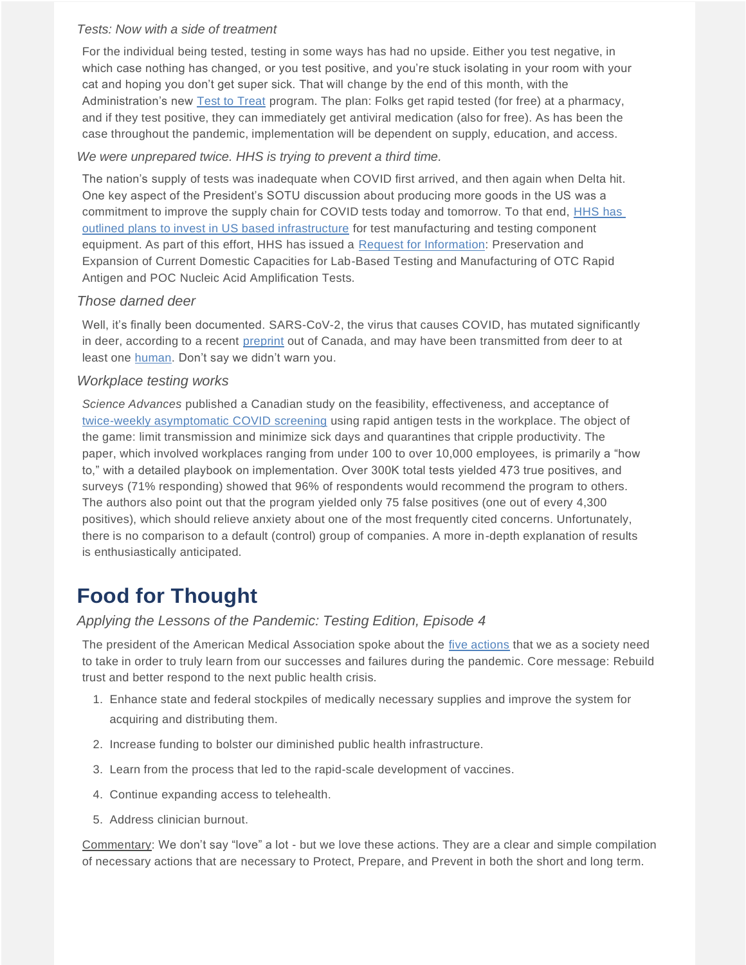#### *Tests: Now with a side of treatment*

For the individual being tested, testing in some ways has had no upside. Either you test negative, in which case nothing has changed, or you test positive, and you're stuck isolating in your room with your cat and hoping you don't get super sick. That will change by the end of this month, with the Administration's new [Test to Treat](https://www.nytimes.com/2022/03/01/us/politics/biden-will-cite-tremendous-progress-against-an-unpredictable-virus.html) program. The plan: Folks get rapid tested (for free) at a pharmacy, and if they test positive, they can immediately get antiviral medication (also for free). As has been the case throughout the pandemic, implementation will be dependent on supply, education, and access.

#### *We were unprepared twice. HHS is trying to prevent a third time.*

The nation's supply of tests was inadequate when COVID first arrived, and then again when Delta hit. One key aspect of the President's SOTU discussion about producing more goods in the US was a commitment to improve the supply chain for COVID tests today and tomorrow. To that end, [HHS has](https://www.medtechdive.com/news/hhs-strengthen-medical-device-diagnostic-supply-chains/619498/)  [outlined plans to invest in US based infrastructure](https://www.medtechdive.com/news/hhs-strengthen-medical-device-diagnostic-supply-chains/619498/) for test manufacturing and testing component equipment. As part of this effort, HHS has issued a [Request for Information:](https://sam.gov/opp/ec934c77124f49e4beff90315cf93a32/view) Preservation and Expansion of Current Domestic Capacities for Lab-Based Testing and Manufacturing of OTC Rapid Antigen and POC Nucleic Acid Amplification Tests.

#### *Those darned deer*

Well, it's finally been documented. SARS-CoV-2, the virus that causes COVID, has mutated significantly in deer, according to a recent [preprint](https://www.biorxiv.org/content/10.1101/2022.02.22.481551v1) out of Canada, and may have been transmitted from deer to at least one [human.](https://www.theguardian.com/world/2022/feb/28/deer-human-covid-transmission-possible-canada) Don't say we didn't warn you.

#### *Workplace testing works*

*Science Advances* published a Canadian study on the feasibility, effectiveness, and acceptance of [twice-weekly asymptomatic](https://www.science.org/doi/10.1126/sciadv.abm3608) COVID screening using rapid antigen tests in the workplace. The object of the game: limit transmission and minimize sick days and quarantines that cripple productivity. The paper, which involved workplaces ranging from under 100 to over 10,000 employees, is primarily a "how to," with a detailed playbook on implementation. Over 300K total tests yielded 473 true positives, and surveys (71% responding) showed that 96% of respondents would recommend the program to others. The authors also point out that the program yielded only 75 false positives (one out of every 4,300 positives), which should relieve anxiety about one of the most frequently cited concerns. Unfortunately, there is no comparison to a default (control) group of companies. A more in-depth explanation of results is enthusiastically anticipated.

## **Food for Thought**

#### *Applying the Lessons of the Pandemic: Testing Edition, Episode 4*

The president of the American Medical Association spoke about the [five actions](https://www.medpagetoday.com/publichealthpolicy/healthpolicy/97360?xid=nl_mpt_DHE_2022-02-25&eun=g1911777d0r&utm_source=Sailthru&utm_medium=email&utm_campaign=Daily%20Headlines%20Morning%20%202022-02-25&utm_term=NL_Daily_DHE_dual-gmail-definition_Morning) that we as a society need to take in order to truly learn from our successes and failures during the pandemic. Core message: Rebuild trust and better respond to the next public health crisis.

- 1. Enhance state and federal stockpiles of medically necessary supplies and improve the system for acquiring and distributing them.
- 2. Increase funding to bolster our diminished public health infrastructure.
- 3. Learn from the process that led to the rapid-scale development of vaccines.
- 4. Continue expanding access to telehealth.
- 5. Address clinician burnout.

Commentary: We don't say "love" a lot - but we love these actions. They are a clear and simple compilation of necessary actions that are necessary to Protect, Prepare, and Prevent in both the short and long term.